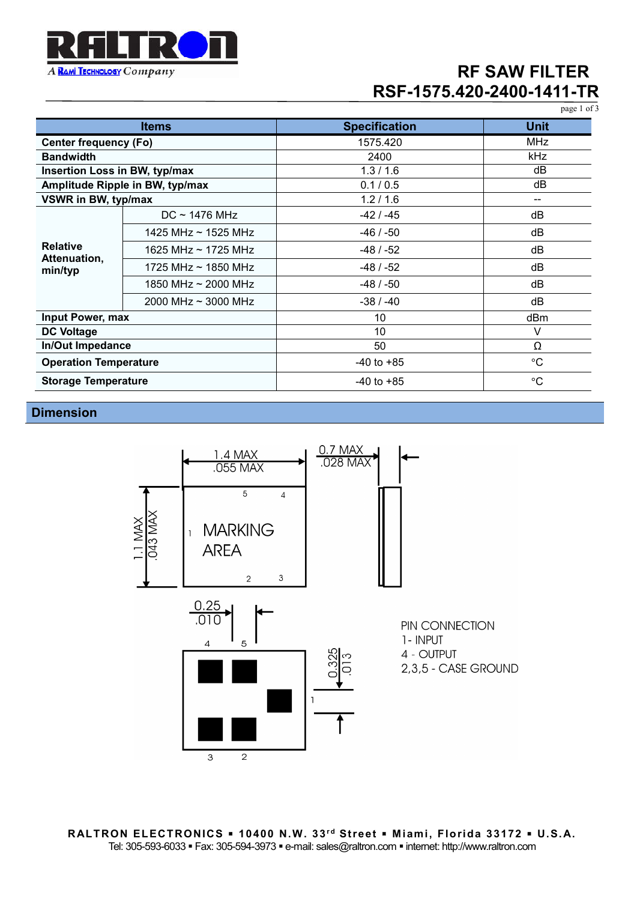

## **RF SAW FILTER RSF-1575.420-2400-1411-TR**

page 1 of 3

| <b>Items</b>                               |                            | <b>Specification</b> | <b>Unit</b> |
|--------------------------------------------|----------------------------|----------------------|-------------|
| <b>Center frequency (Fo)</b>               |                            | 1575.420             | <b>MHz</b>  |
| <b>Bandwidth</b>                           |                            | 2400                 | kHz         |
| Insertion Loss in BW, typ/max              |                            | 1.3/1.6              | dB          |
| Amplitude Ripple in BW, typ/max            |                            | 0.1 / 0.5            | dB          |
| VSWR in BW, typ/max                        |                            | 1.2/1.6              | --          |
| <b>Relative</b><br>Attenuation,<br>min/typ | $DC \sim 1476 \text{ MHz}$ | -42 / -45            | dB          |
|                                            | 1425 MHz $\sim$ 1525 MHz   | $-46/ -50$           | dB          |
|                                            | 1625 MHz $\sim$ 1725 MHz   | -48 / -52            | dB          |
|                                            | 1725 MHz $\sim$ 1850 MHz   | -48 / -52            | dB          |
|                                            | 1850 MHz $\sim$ 2000 MHz   | $-48/ -50$           | dB          |
|                                            | 2000 MHz $\sim$ 3000 MHz   | $-38/ -40$           | dB          |
| Input Power, max                           |                            | 10                   | dBm         |
| <b>DC Voltage</b>                          |                            | 10                   | V           |
| In/Out Impedance                           |                            | 50                   | Ω           |
| <b>Operation Temperature</b>               |                            | $-40$ to $+85$       | $^{\circ}C$ |
| <b>Storage Temperature</b>                 |                            | $-40$ to $+85$       | $^{\circ}C$ |

### **Dimension**

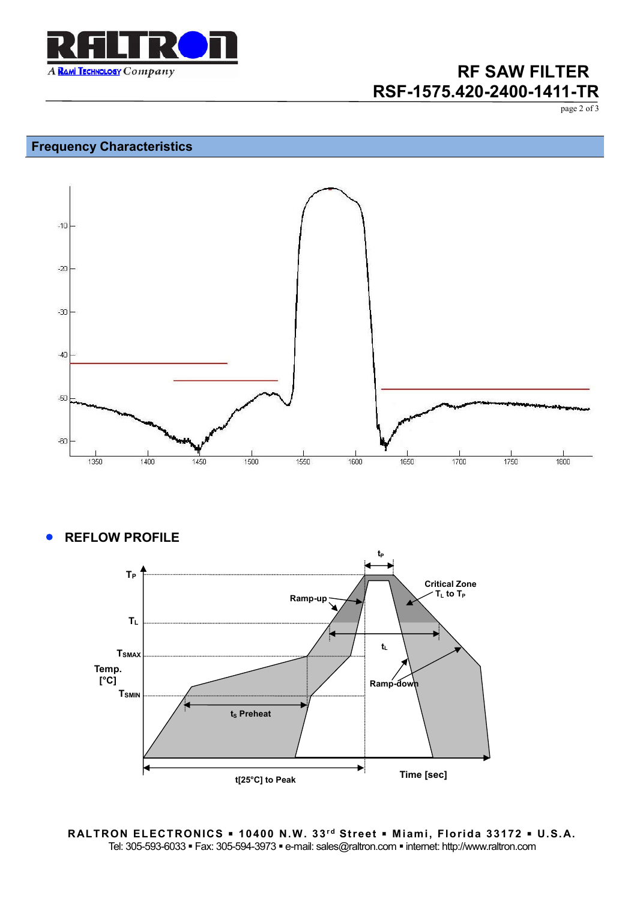

## **RF SAW FILTER RSF-1575.420-2400-1411-TR**

page 2 of 3

### **Frequency Characteristics**



**REFLOW PROFILE**



**RALTRON ELECTRONICS . 10400 N.W. 33rd Street . Miami, Florida 33172 . U.S.A.** Tel: 305-593-6033 · Fax: 305-594-3973 · e-mail: sales@raltron.com · internet: http://www.raltron.com